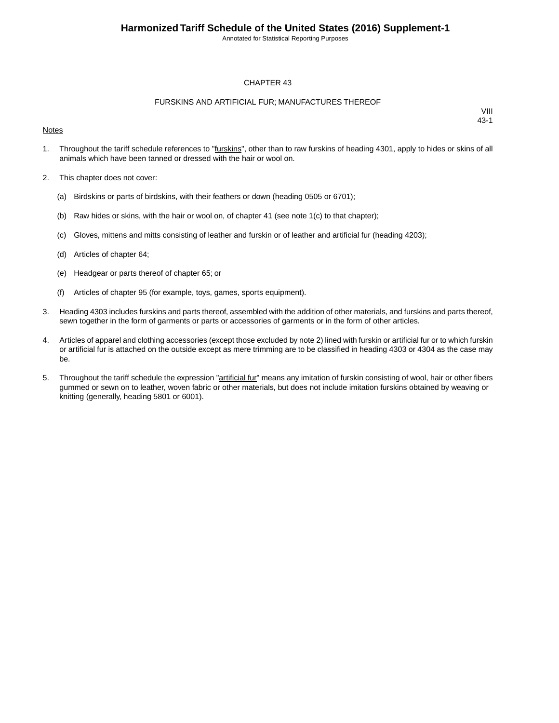Annotated for Statistical Reporting Purposes

#### CHAPTER 43

### FURSKINS AND ARTIFICIAL FUR; MANUFACTURES THEREOF

#### **Notes**

- 1. Throughout the tariff schedule references to "furskins", other than to raw furskins of heading 4301, apply to hides or skins of all animals which have been tanned or dressed with the hair or wool on.
- 2. This chapter does not cover:
	- (a) Birdskins or parts of birdskins, with their feathers or down (heading 0505 or 6701);
	- (b) Raw hides or skins, with the hair or wool on, of chapter 41 (see note  $1(c)$  to that chapter);
	- (c) Gloves, mittens and mitts consisting of leather and furskin or of leather and artificial fur (heading 4203);
	- (d) Articles of chapter 64;
	- (e) Headgear or parts thereof of chapter 65; or
	- (f) Articles of chapter 95 (for example, toys, games, sports equipment).
- 3. Heading 4303 includes furskins and parts thereof, assembled with the addition of other materials, and furskins and parts thereof, sewn together in the form of garments or parts or accessories of garments or in the form of other articles.
- 4. Articles of apparel and clothing accessories (except those excluded by note 2) lined with furskin or artificial fur or to which furskin or artificial fur is attached on the outside except as mere trimming are to be classified in heading 4303 or 4304 as the case may be.
- 5. Throughout the tariff schedule the expression "artificial fur" means any imitation of furskin consisting of wool, hair or other fibers gummed or sewn on to leather, woven fabric or other materials, but does not include imitation furskins obtained by weaving or knitting (generally, heading 5801 or 6001).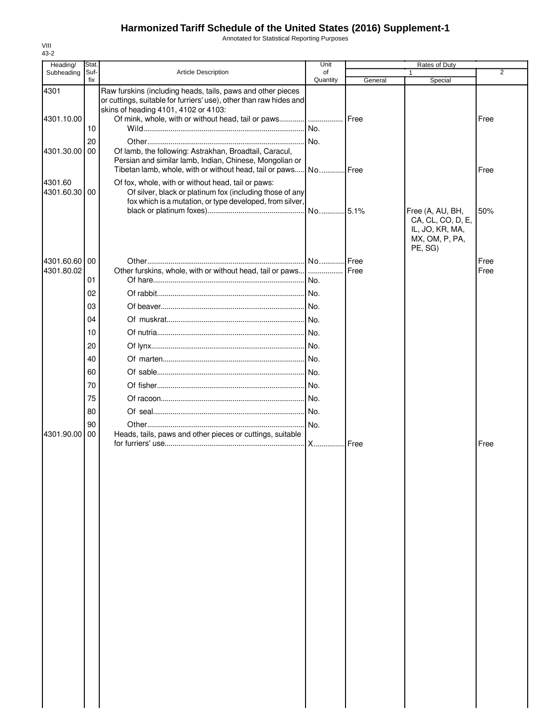Annotated for Statistical Reporting Purposes

| Heading/   | Stat. |                                                                                                                                                                           | Unit     | Rates of Duty |                                       |                |
|------------|-------|---------------------------------------------------------------------------------------------------------------------------------------------------------------------------|----------|---------------|---------------------------------------|----------------|
| Subheading | Suf-  | <b>Article Description</b>                                                                                                                                                | of       |               |                                       | $\overline{2}$ |
|            | fix   |                                                                                                                                                                           | Quantity | General       | Special                               |                |
| 4301       |       | Raw furskins (including heads, tails, paws and other pieces<br>or cuttings, suitable for furriers' use), other than raw hides and<br>skins of heading 4101, 4102 or 4103: |          |               |                                       |                |
| 4301.10.00 |       |                                                                                                                                                                           |          | <b>I</b> Free |                                       | Free           |
|            | 10    |                                                                                                                                                                           |          |               |                                       |                |
|            | 20    |                                                                                                                                                                           |          |               |                                       |                |
| 4301.30.00 | 00    | Of lamb, the following: Astrakhan, Broadtail, Caracul,                                                                                                                    |          |               |                                       |                |
|            |       | Persian and similar lamb, Indian, Chinese, Mongolian or                                                                                                                   |          |               |                                       |                |
|            |       | Tibetan lamb, whole, with or without head, tail or paws No Free                                                                                                           |          |               |                                       | Free           |
| 4301.60    |       | Of fox, whole, with or without head, tail or paws:                                                                                                                        |          |               |                                       |                |
| 4301.60.30 | 00    | Of silver, black or platinum fox (including those of any                                                                                                                  |          |               |                                       |                |
|            |       | fox which is a mutation, or type developed, from silver,                                                                                                                  |          |               |                                       |                |
|            |       |                                                                                                                                                                           |          |               | Free (A, AU, BH,<br>CA, CL, CO, D, E, | 50%            |
|            |       |                                                                                                                                                                           |          |               | IL, JO, KR, MA,                       |                |
|            |       |                                                                                                                                                                           |          |               | MX, OM, P, PA,                        |                |
|            |       |                                                                                                                                                                           |          |               | PE, SG)                               |                |
| 4301.60.60 | 00    |                                                                                                                                                                           |          | <b>I</b> Free |                                       | Free           |
| 4301.80.02 |       | Other furskins, whole, with or without head, tail or paws [                                                                                                               |          | Free          |                                       | Free           |
|            | 01    |                                                                                                                                                                           |          |               |                                       |                |
|            | 02    |                                                                                                                                                                           |          |               |                                       |                |
|            | 03    |                                                                                                                                                                           |          |               |                                       |                |
|            | 04    |                                                                                                                                                                           |          |               |                                       |                |
|            | 10    |                                                                                                                                                                           |          |               |                                       |                |
|            |       |                                                                                                                                                                           |          |               |                                       |                |
|            | 20    |                                                                                                                                                                           |          |               |                                       |                |
|            | 40    |                                                                                                                                                                           |          |               |                                       |                |
|            | 60    |                                                                                                                                                                           |          |               |                                       |                |
|            | 70    |                                                                                                                                                                           |          |               |                                       |                |
|            | 75    |                                                                                                                                                                           |          |               |                                       |                |
|            | 80    |                                                                                                                                                                           |          |               |                                       |                |
|            | 90    |                                                                                                                                                                           |          |               |                                       |                |
| 4301.90.00 | 00    | Heads, tails, paws and other pieces or cuttings, suitable                                                                                                                 |          |               |                                       |                |
|            |       |                                                                                                                                                                           |          | <b>I</b> Free |                                       | Free           |
|            |       |                                                                                                                                                                           |          |               |                                       |                |
|            |       |                                                                                                                                                                           |          |               |                                       |                |
|            |       |                                                                                                                                                                           |          |               |                                       |                |
|            |       |                                                                                                                                                                           |          |               |                                       |                |
|            |       |                                                                                                                                                                           |          |               |                                       |                |
|            |       |                                                                                                                                                                           |          |               |                                       |                |
|            |       |                                                                                                                                                                           |          |               |                                       |                |
|            |       |                                                                                                                                                                           |          |               |                                       |                |
|            |       |                                                                                                                                                                           |          |               |                                       |                |
|            |       |                                                                                                                                                                           |          |               |                                       |                |
|            |       |                                                                                                                                                                           |          |               |                                       |                |
|            |       |                                                                                                                                                                           |          |               |                                       |                |
|            |       |                                                                                                                                                                           |          |               |                                       |                |
|            |       |                                                                                                                                                                           |          |               |                                       |                |
|            |       |                                                                                                                                                                           |          |               |                                       |                |
|            |       |                                                                                                                                                                           |          |               |                                       |                |
|            |       |                                                                                                                                                                           |          |               |                                       |                |
|            |       |                                                                                                                                                                           |          |               |                                       |                |
|            |       |                                                                                                                                                                           |          |               |                                       |                |
|            |       |                                                                                                                                                                           |          |               |                                       |                |
|            |       |                                                                                                                                                                           |          |               |                                       |                |
|            |       |                                                                                                                                                                           |          |               |                                       |                |
|            |       |                                                                                                                                                                           |          |               |                                       |                |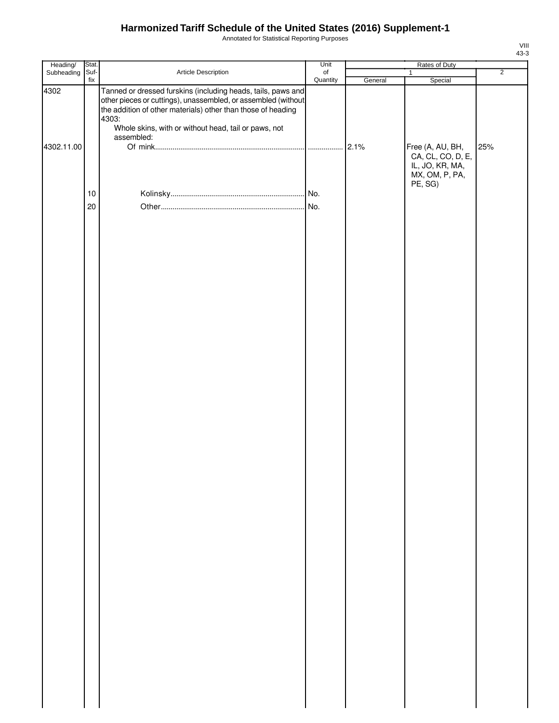Annotated for Statistical Reporting Purposes

| Heading/           | Stat.       |                                                                                                                                                                                                                                                                              | Unit                  | Rates of Duty |                                                          |                |  |
|--------------------|-------------|------------------------------------------------------------------------------------------------------------------------------------------------------------------------------------------------------------------------------------------------------------------------------|-----------------------|---------------|----------------------------------------------------------|----------------|--|
| Subheading         | Suf-<br>fix | Article Description                                                                                                                                                                                                                                                          | $\circ$ f<br>Quantity | General       | $\mathbf{1}$<br>Special                                  | $\overline{2}$ |  |
| 4302<br>4302.11.00 |             | Tanned or dressed furskins (including heads, tails, paws and<br>other pieces or cuttings), unassembled, or assembled (without<br>the addition of other materials) other than those of heading<br>4303:<br>Whole skins, with or without head, tail or paws, not<br>assembled: |                       | 2.1%          | Free (A, AU, BH,<br>CA, CL, CO, D, E,<br>IL, JO, KR, MA, | 25%            |  |
|                    |             |                                                                                                                                                                                                                                                                              |                       |               | MX, OM, P, PA,<br>PE, SG)                                |                |  |
|                    | 10          |                                                                                                                                                                                                                                                                              |                       |               |                                                          |                |  |
|                    | 20          |                                                                                                                                                                                                                                                                              |                       |               |                                                          |                |  |
|                    |             |                                                                                                                                                                                                                                                                              |                       |               |                                                          |                |  |
|                    |             |                                                                                                                                                                                                                                                                              |                       |               |                                                          |                |  |
|                    |             |                                                                                                                                                                                                                                                                              |                       |               |                                                          |                |  |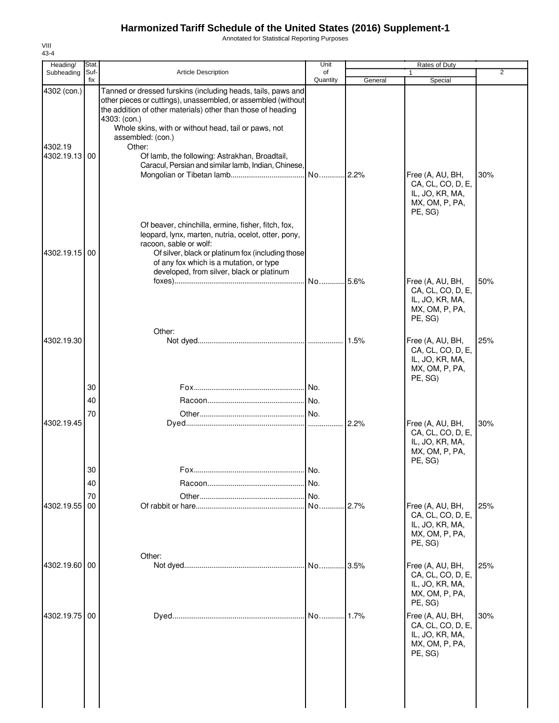Annotated for Statistical Reporting Purposes

| Heading/                                | Stat.       |                                                                                                                                                                                                                                                                                                                                                                                                              | Unit           | Rates of Duty |                                                                                       |                |
|-----------------------------------------|-------------|--------------------------------------------------------------------------------------------------------------------------------------------------------------------------------------------------------------------------------------------------------------------------------------------------------------------------------------------------------------------------------------------------------------|----------------|---------------|---------------------------------------------------------------------------------------|----------------|
| Subheading                              | Suf-<br>fix | <b>Article Description</b>                                                                                                                                                                                                                                                                                                                                                                                   | of<br>Quantity | General       | 1<br>Special                                                                          | $\overline{2}$ |
| 4302 (con.)<br>4302.19<br>4302.19.13 00 |             | Tanned or dressed furskins (including heads, tails, paws and<br>other pieces or cuttings), unassembled, or assembled (without<br>the addition of other materials) other than those of heading<br>4303: (con.)<br>Whole skins, with or without head, tail or paws, not<br>assembled: (con.)<br>Other:<br>Of lamb, the following: Astrakhan, Broadtail,<br>Caracul, Persian and similar lamb, Indian, Chinese, | No 2.2%        |               | Free (A, AU, BH,<br>CA, CL, CO, D, E,<br>IL, JO, KR, MA,<br>MX, OM, P, PA,<br>PE, SG) | 30%            |
| 4302.19.15 00                           |             | Of beaver, chinchilla, ermine, fisher, fitch, fox,<br>leopard, lynx, marten, nutria, ocelot, otter, pony,<br>racoon, sable or wolf:<br>Of silver, black or platinum fox (including those<br>of any fox which is a mutation, or type<br>developed, from silver, black or platinum                                                                                                                             | No 5.6%        |               | Free (A, AU, BH,<br>CA, CL, CO, D, E,<br>IL, JO, KR, MA,<br>MX, OM, P, PA,<br>PE, SG) | 50%            |
| 4302.19.30                              | 30          | Other:                                                                                                                                                                                                                                                                                                                                                                                                       | No.            | 1.5%          | Free (A, AU, BH,<br>CA, CL, CO, D, E,<br>IL, JO, KR, MA,<br>MX, OM, P, PA,<br>PE, SG) | 25%            |
|                                         | 40          |                                                                                                                                                                                                                                                                                                                                                                                                              |                |               |                                                                                       |                |
|                                         | 70          |                                                                                                                                                                                                                                                                                                                                                                                                              |                |               |                                                                                       |                |
| 4302.19.45                              |             |                                                                                                                                                                                                                                                                                                                                                                                                              |                | 2.2%          | Free (A, AU, BH,<br>CA, CL, CO, D, E,<br>IL, JO, KR, MA,<br>MX, OM, P, PA,<br>PE, SG) | 30%            |
|                                         | 30          |                                                                                                                                                                                                                                                                                                                                                                                                              | No.            |               |                                                                                       |                |
|                                         | 40          |                                                                                                                                                                                                                                                                                                                                                                                                              | No.            |               |                                                                                       |                |
| 4302.19.55                              | 70<br>00    |                                                                                                                                                                                                                                                                                                                                                                                                              | No.<br>No      | 2.7%          | Free (A, AU, BH,<br>CA, CL, CO, D, E,<br>IL, JO, KR, MA,<br>MX, OM, P, PA,<br>PE, SG) | 25%            |
| 4302.19.60 00                           |             | Other:                                                                                                                                                                                                                                                                                                                                                                                                       | No             | 3.5%          | Free (A, AU, BH,<br>CA, CL, CO, D, E,<br>IL, JO, KR, MA,<br>MX, OM, P, PA,<br>PE, SG) | 25%            |
| 4302.19.75                              | 00          |                                                                                                                                                                                                                                                                                                                                                                                                              | No             | 1.7%          | Free (A, AU, BH,<br>CA, CL, CO, D, E,<br>IL, JO, KR, MA,<br>MX, OM, P, PA,<br>PE, SG) | 30%            |